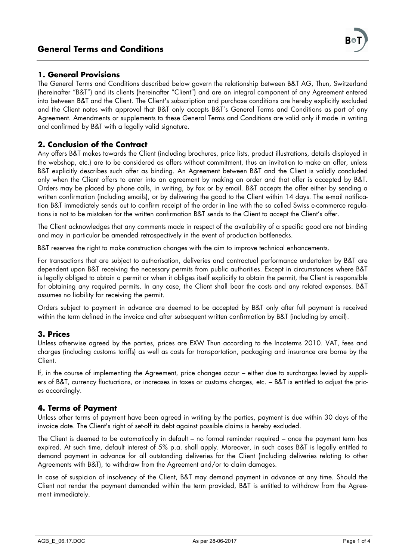(hereinafter "B&T") and its clients (hereinafter "Client") and are an integral component of any Agreement entered into between B&T and the Client. The Client's subscription and purchase conditions are hereby explicitly excluded and the Client notes with approval that B&T only accepts B&T's General Terms and Conditions as part of any Agreement. Amendments or supplements to these General Terms and Conditions are valid only if made in writing and confirmed by B&T with a legally valid signature.

## **2. Conclusion of the Contract**

Any offers B&T makes towards the Client (including brochures, price lists, product illustrations, details displayed in the webshop, etc.) are to be considered as offers without commitment, thus an invitation to make an offer, unless B&T explicitly describes such offer as binding. An Agreement between B&T and the Client is validly concluded only when the Client offers to enter into an agreement by making an order and that offer is accepted by B&T. Orders may be placed by phone calls, in writing, by fax or by email. B&T accepts the offer either by sending a written confirmation (including emails), or by delivering the good to the Client within 14 days. The e-mail notification B&T immediately sends out to confirm receipt of the order in line with the so called Swiss e-commerce regulations is not to be mistaken for the written confirmation B&T sends to the Client to accept the Client's offer.

The Client acknowledges that any comments made in respect of the availability of a specific good are not binding and may in particular be amended retrospectively in the event of production bottlenecks.

B&T reserves the right to make construction changes with the aim to improve technical enhancements.

For transactions that are subject to authorisation, deliveries and contractual performance undertaken by B&T are dependent upon B&T receiving the necessary permits from public authorities. Except in circumstances where B&T is legally obliged to obtain a permit or when it obliges itself explicitly to obtain the permit, the Client is responsible for obtaining any required permits. In any case, the Client shall bear the costs and any related expenses. B&T assumes no liability for receiving the permit.

Orders subject to payment in advance are deemed to be accepted by B&T only after full payment is received within the term defined in the invoice and after subsequent written confirmation by B&T (including by email).

## **3. Prices**

Unless otherwise agreed by the parties, prices are EXW Thun according to the Incoterms 2010. VAT, fees and charges (including customs tariffs) as well as costs for transportation, packaging and insurance are borne by the Client.

If, in the course of implementing the Agreement, price changes occur – either due to surcharges levied by suppliers of B&T, currency fluctuations, or increases in taxes or customs charges, etc. – B&T is entitled to adjust the prices accordingly.

## **4. Terms of Payment**

Unless other terms of payment have been agreed in writing by the parties, payment is due within 30 days of the invoice date. The Client's right of set-off its debt against possible claims is hereby excluded.

The Client is deemed to be automatically in default – no formal reminder required – once the payment term has expired. At such time, default interest of 5% p.a. shall apply. Moreover, in such cases B&T is legally entitled to demand payment in advance for all outstanding deliveries for the Client (including deliveries relating to other Agreements with B&T), to withdraw from the Agreement and/or to claim damages.

In case of suspicion of insolvency of the Client, B&T may demand payment in advance at any time. Should the Client not render the payment demanded within the term provided, B&T is entitled to withdraw from the Agreement immediately.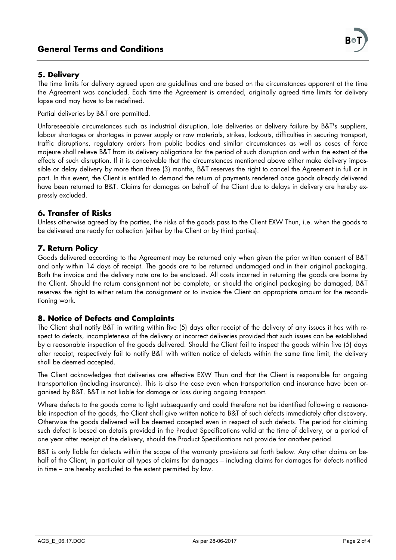# **General Terms and Conditions**

## **5. Delivery**

The time limits for delivery agreed upon are guidelines and are based on the circumstances apparent at the time the Agreement was concluded. Each time the Agreement is amended, originally agreed time limits for delivery lapse and may have to be redefined.

Partial deliveries by B&T are permitted.

Unforeseeable circumstances such as industrial disruption, late deliveries or delivery failure by B&T's suppliers, labour shortages or shortages in power supply or raw materials, strikes, lockouts, difficulties in securing transport, traffic disruptions, regulatory orders from public bodies and similar circumstances as well as cases of force majeure shall relieve B&T from its delivery obligations for the period of such disruption and within the extent of the effects of such disruption. If it is conceivable that the circumstances mentioned above either make delivery impossible or delay delivery by more than three (3) months, B&T reserves the right to cancel the Agreement in full or in part. In this event, the Client is entitled to demand the return of payments rendered once goods already delivered have been returned to B&T. Claims for damages on behalf of the Client due to delays in delivery are hereby expressly excluded.

### **6. Transfer of Risks**

Unless otherwise agreed by the parties, the risks of the goods pass to the Client EXW Thun, i.e. when the goods to be delivered are ready for collection (either by the Client or by third parties).

## **7. Return Policy**

Goods delivered according to the Agreement may be returned only when given the prior written consent of B&T and only within 14 days of receipt. The goods are to be returned undamaged and in their original packaging. Both the invoice and the delivery note are to be enclosed. All costs incurred in returning the goods are borne by the Client. Should the return consignment not be complete, or should the original packaging be damaged, B&T reserves the right to either return the consignment or to invoice the Client an appropriate amount for the reconditioning work.

### **8. Notice of Defects and Complaints**

The Client shall notify B&T in writing within five (5) days after receipt of the delivery of any issues it has with respect to defects, incompleteness of the delivery or incorrect deliveries provided that such issues can be established by a reasonable inspection of the goods delivered. Should the Client fail to inspect the goods within five (5) days after receipt, respectively fail to notify B&T with written notice of defects within the same time limit, the delivery shall be deemed accepted.

The Client acknowledges that deliveries are effective EXW Thun and that the Client is responsible for ongoing transportation (including insurance). This is also the case even when transportation and insurance have been organised by B&T. B&T is not liable for damage or loss during ongoing transport.

Where defects to the goods come to light subsequently and could therefore not be identified following a reasonable inspection of the goods, the Client shall give written notice to B&T of such defects immediately after discovery. Otherwise the goods delivered will be deemed accepted even in respect of such defects. The period for claiming such defect is based on details provided in the Product Specifications valid at the time of delivery, or a period of one year after receipt of the delivery, should the Product Specifications not provide for another period.

B&T is only liable for defects within the scope of the warranty provisions set forth below. Any other claims on behalf of the Client, in particular all types of claims for damages – including claims for damages for defects notified in time – are hereby excluded to the extent permitted by law.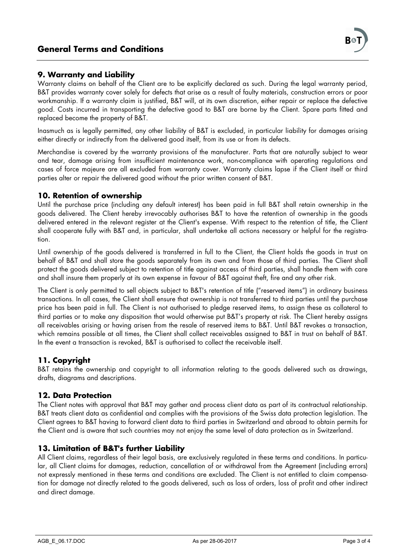## **9. Warranty and Liability**

Warranty claims on behalf of the Client are to be explicitly declared as such. During the legal warranty period, B&T provides warranty cover solely for defects that arise as a result of faulty materials, construction errors or poor workmanship. If a warranty claim is justified, B&T will, at its own discretion, either repair or replace the defective good. Costs incurred in transporting the defective good to B&T are borne by the Client. Spare parts fitted and replaced become the property of B&T.

Inasmuch as is legally permitted, any other liability of B&T is excluded, in particular liability for damages arising either directly or indirectly from the delivered good itself, from its use or from its defects.

Merchandise is covered by the warranty provisions of the manufacturer. Parts that are naturally subject to wear and tear, damage arising from insufficient maintenance work, non-compliance with operating regulations and cases of force majeure are all excluded from warranty cover. Warranty claims lapse if the Client itself or third parties alter or repair the delivered good without the prior written consent of B&T.

### **10. Retention of ownership**

Until the purchase price (including any default interest) has been paid in full B&T shall retain ownership in the goods delivered. The Client hereby irrevocably authorises B&T to have the retention of ownership in the goods delivered entered in the relevant register at the Client's expense. With respect to the retention of title, the Client shall cooperate fully with B&T and, in particular, shall undertake all actions necessary or helpful for the registration.

Until ownership of the goods delivered is transferred in full to the Client, the Client holds the goods in trust on behalf of B&T and shall store the goods separately from its own and from those of third parties. The Client shall protect the goods delivered subject to retention of title against access of third parties, shall handle them with care and shall insure them properly at its own expense in favour of B&T against theft, fire and any other risk.

The Client is only permitted to sell objects subject to B&T's retention of title ("reserved items") in ordinary business transactions. In all cases, the Client shall ensure that ownership is not transferred to third parties until the purchase price has been paid in full. The Client is not authorised to pledge reserved items, to assign these as collateral to third parties or to make any disposition that would otherwise put B&T's property at risk. The Client hereby assigns all receivables arising or having arisen from the resale of reserved items to B&T. Until B&T revokes a transaction, which remains possible at all times, the Client shall collect receivables assigned to B&T in trust on behalf of B&T. In the event a transaction is revoked, B&T is authorised to collect the receivable itself.

### **11. Copyright**

B&T retains the ownership and copyright to all information relating to the goods delivered such as drawings, drafts, diagrams and descriptions.

### **12. Data Protection**

The Client notes with approval that B&T may gather and process client data as part of its contractual relationship. B&T treats client data as confidential and complies with the provisions of the Swiss data protection legislation. The Client agrees to B&T having to forward client data to third parties in Switzerland and abroad to obtain permits for the Client and is aware that such countries may not enjoy the same level of data protection as in Switzerland.

### **13. Limitation of B&T's further Liability**

All Client claims, regardless of their legal basis, are exclusively regulated in these terms and conditions. In particular, all Client claims for damages, reduction, cancellation of or withdrawal from the Agreement (including errors) not expressly mentioned in these terms and conditions are excluded. The Client is not entitled to claim compensation for damage not directly related to the goods delivered, such as loss of orders, loss of profit and other indirect and direct damage.